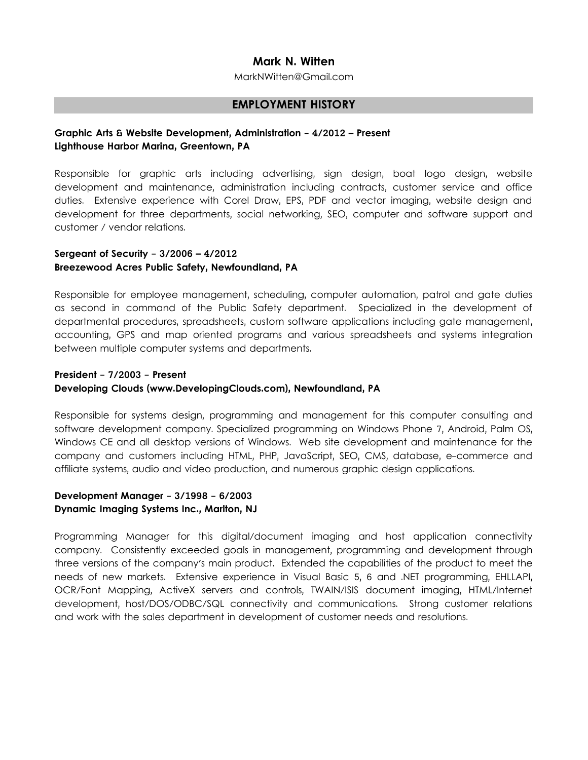## **Mark N. Witten**

MarkNWitten@Gmail.com

#### **EMPLOYMENT HISTORY**

### **Graphic Arts & Website Development, Administration - 4/2012 – Present Lighthouse Harbor Marina, Greentown, PA**

Responsible for graphic arts including advertising, sign design, boat logo design, website development and maintenance, administration including contracts, customer service and office duties. Extensive experience with Corel Draw, EPS, PDF and vector imaging, website design and development for three departments, social networking, SEO, computer and software support and customer / vendor relations.

## **Sergeant of Security - 3/2006 – 4/2012 Breezewood Acres Public Safety, Newfoundland, PA**

Responsible for employee management, scheduling, computer automation, patrol and gate duties as second in command of the Public Safety department. Specialized in the development of departmental procedures, spreadsheets, custom software applications including gate management, accounting, GPS and map oriented programs and various spreadsheets and systems integration between multiple computer systems and departments.

# **President - 7/2003 - Present Developing Clouds (www.DevelopingClouds.com), Newfoundland, PA**

Responsible for systems design, programming and management for this computer consulting and software development company. Specialized programming on Windows Phone 7, Android, Palm OS, Windows CE and all desktop versions of Windows. Web site development and maintenance for the company and customers including HTML, PHP, JavaScript, SEO, CMS, database, e-commerce and affiliate systems, audio and video production, and numerous graphic design applications.

#### **Development Manager - 3/1998 - 6/2003 Dynamic Imaging Systems Inc., Marlton, NJ**

Programming Manager for this digital/document imaging and host application connectivity company. Consistently exceeded goals in management, programming and development through three versions of the company's main product. Extended the capabilities of the product to meet the needs of new markets. Extensive experience in Visual Basic 5, 6 and .NET programming, EHLLAPI, OCR/Font Mapping, ActiveX servers and controls, TWAIN/ISIS document imaging, HTML/Internet development, host/DOS/ODBC/SQL connectivity and communications. Strong customer relations and work with the sales department in development of customer needs and resolutions.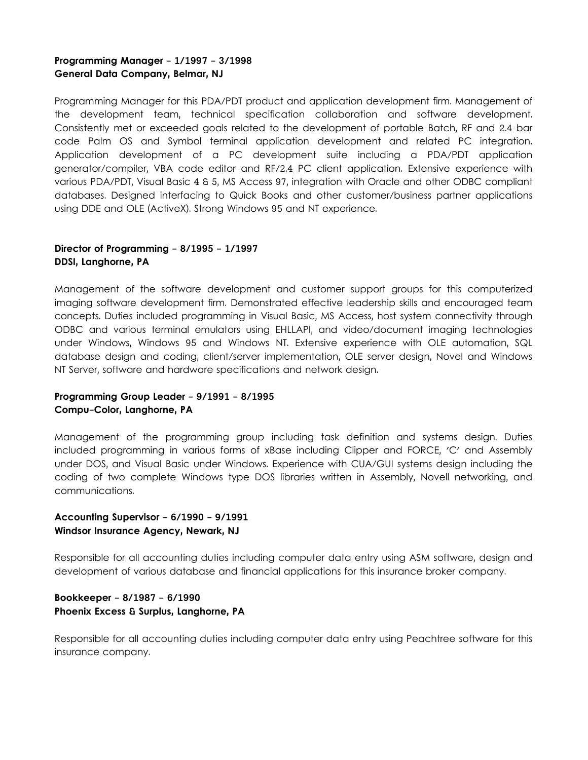# **Programming Manager - 1/1997 - 3/1998 General Data Company, Belmar, NJ**

Programming Manager for this PDA/PDT product and application development firm. Management of the development team, technical specification collaboration and software development. Consistently met or exceeded goals related to the development of portable Batch, RF and 2.4 bar code Palm OS and Symbol terminal application development and related PC integration. Application development of a PC development suite including a PDA/PDT application generator/compiler, VBA code editor and RF/2.4 PC client application. Extensive experience with various PDA/PDT, Visual Basic 4 & 5, MS Access 97, integration with Oracle and other ODBC compliant databases. Designed interfacing to Quick Books and other customer/business partner applications using DDE and OLE (ActiveX). Strong Windows 95 and NT experience.

# **Director of Programming - 8/1995 - 1/1997 DDSI, Langhorne, PA**

Management of the software development and customer support groups for this computerized imaging software development firm. Demonstrated effective leadership skills and encouraged team concepts. Duties included programming in Visual Basic, MS Access, host system connectivity through ODBC and various terminal emulators using EHLLAPI, and video/document imaging technologies under Windows, Windows 95 and Windows NT. Extensive experience with OLE automation, SQL database design and coding, client/server implementation, OLE server design, Novel and Windows NT Server, software and hardware specifications and network design.

## **Programming Group Leader - 9/1991 - 8/1995 Compu-Color, Langhorne, PA**

Management of the programming group including task definition and systems design. Duties included programming in various forms of xBase including Clipper and FORCE, 'C' and Assembly under DOS, and Visual Basic under Windows. Experience with CUA/GUI systems design including the coding of two complete Windows type DOS libraries written in Assembly, Novell networking, and communications.

#### **Accounting Supervisor - 6/1990 - 9/1991 Windsor Insurance Agency, Newark, NJ**

Responsible for all accounting duties including computer data entry using ASM software, design and development of various database and financial applications for this insurance broker company.

#### **Bookkeeper - 8/1987 - 6/1990 Phoenix Excess & Surplus, Langhorne, PA**

Responsible for all accounting duties including computer data entry using Peachtree software for this insurance company.